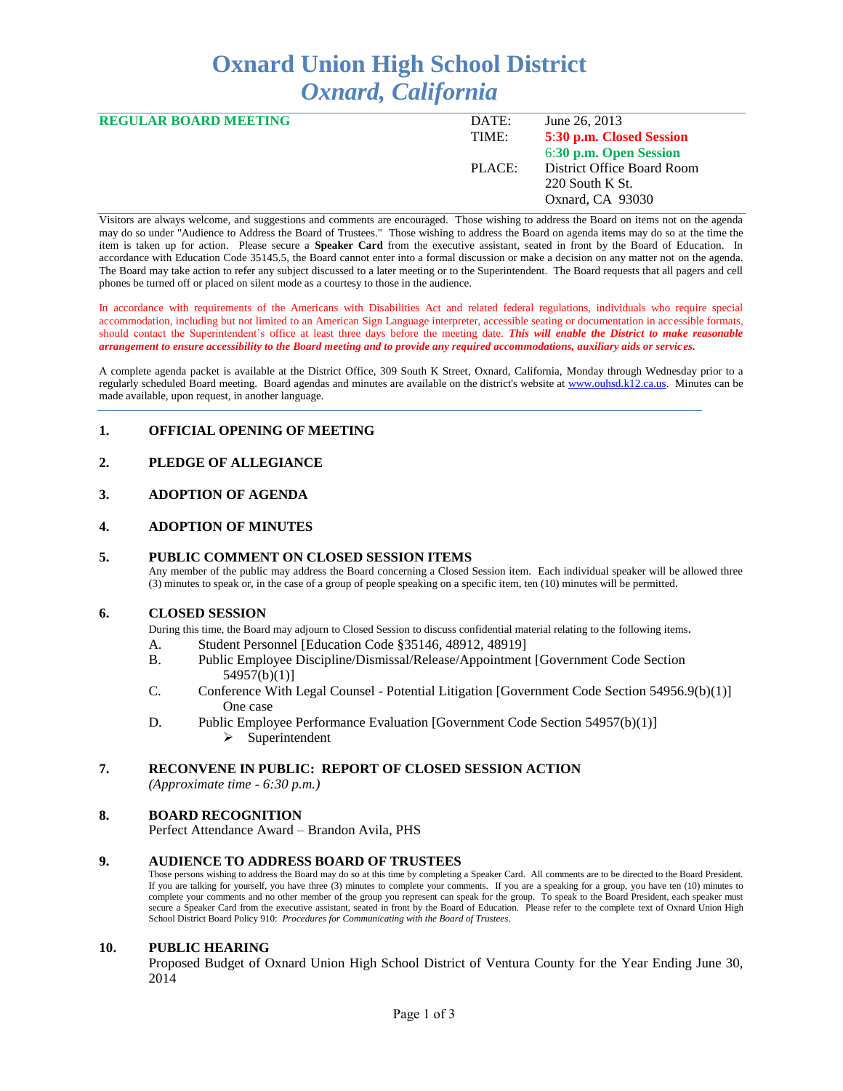# **Oxnard Union High School District** *Oxnard, California*

| DATE:  | June 26, 2013              |
|--------|----------------------------|
| TIME:  | 5:30 p.m. Closed Session   |
|        | 6:30 p.m. Open Session     |
| PLACE: | District Office Board Room |
|        | $220$ South K St.          |
|        | Oxnard, CA 93030           |
|        |                            |

Visitors are always welcome, and suggestions and comments are encouraged. Those wishing to address the Board on items not on the agenda may do so under "Audience to Address the Board of Trustees." Those wishing to address the Board on agenda items may do so at the time the item is taken up for action. Please secure a **Speaker Card** from the executive assistant, seated in front by the Board of Education. In accordance with Education Code 35145.5, the Board cannot enter into a formal discussion or make a decision on any matter not on the agenda. The Board may take action to refer any subject discussed to a later meeting or to the Superintendent. The Board requests that all pagers and cell phones be turned off or placed on silent mode as a courtesy to those in the audience.

In accordance with requirements of the Americans with Disabilities Act and related federal regulations, individuals who require special accommodation, including but not limited to an American Sign Language interpreter, accessible seating or documentation in accessible formats, should contact the Superintendent's office at least three days before the meeting date. *This will enable the District to make reasonable arrangement to ensure accessibility to the Board meeting and to provide any required accommodations, auxiliary aids or services.* 

A complete agenda packet is available at the District Office, 309 South K Street, Oxnard, California, Monday through Wednesday prior to a regularly scheduled Board meeting. Board agendas and minutes are available on the district's website at [www.ouhsd.k12.ca.us.](http://www.ouhsd.k12.ca.us/)Minutes can be made available, upon request, in another language.

## **1. OFFICIAL OPENING OF MEETING**

## **2. PLEDGE OF ALLEGIANCE**

## **3. ADOPTION OF AGENDA**

#### **4. ADOPTION OF MINUTES**

#### **5. PUBLIC COMMENT ON CLOSED SESSION ITEMS**

Any member of the public may address the Board concerning a Closed Session item. Each individual speaker will be allowed three (3) minutes to speak or, in the case of a group of people speaking on a specific item, ten (10) minutes will be permitted.

#### **6. CLOSED SESSION**

During this time, the Board may adjourn to Closed Session to discuss confidential material relating to the following items.

- A. Student Personnel [Education Code §35146, 48912, 48919]
- B. Public Employee Discipline/Dismissal/Release/Appointment [Government Code Section 54957(b)(1)]
- C. Conference With Legal Counsel Potential Litigation [Government Code Section 54956.9(b)(1)] One case
- D. Public Employee Performance Evaluation [Government Code Section 54957(b)(1)]
	- $\triangleright$  Superintendent

# **7. RECONVENE IN PUBLIC: REPORT OF CLOSED SESSION ACTION**

*(Approximate time - 6:30 p.m.)*

#### **8. BOARD RECOGNITION**

Perfect Attendance Award – Brandon Avila, PHS

#### **9. AUDIENCE TO ADDRESS BOARD OF TRUSTEES**

Those persons wishing to address the Board may do so at this time by completing a Speaker Card. All comments are to be directed to the Board President. If you are talking for yourself, you have three (3) minutes to complete your comments. If you are a speaking for a group, you have ten (10) minutes to complete your comments and no other member of the group you represent can speak for the group. To speak to the Board President, each speaker must secure a Speaker Card from the executive assistant, seated in front by the Board of Education. Please refer to the complete text of Oxnard Union High School District Board Policy 910: *Procedures for Communicating with the Board of Trustees.*

#### **10. PUBLIC HEARING**

Proposed Budget of Oxnard Union High School District of Ventura County for the Year Ending June 30, 2014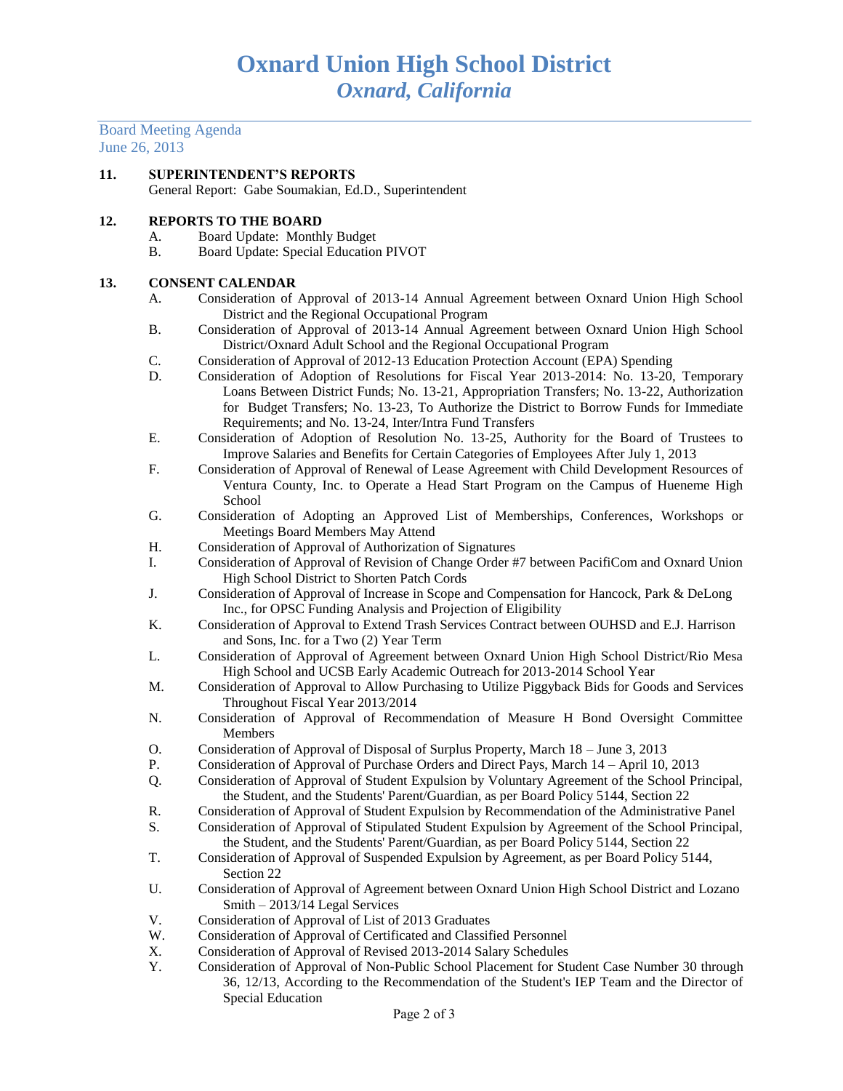Board Meeting Agenda June 26, 2013

## **11. SUPERINTENDENT'S REPORTS** General Report: Gabe Soumakian, Ed.D., Superintendent

## **12. REPORTS TO THE BOARD**

- A. Board Update: Monthly Budget
- B. Board Update: Special Education PIVOT

## **13. CONSENT CALENDAR**

- A. Consideration of Approval of 2013-14 Annual Agreement between Oxnard Union High School District and the Regional Occupational Program
- B. Consideration of Approval of 2013-14 Annual Agreement between Oxnard Union High School District/Oxnard Adult School and the Regional Occupational Program
- C. Consideration of Approval of 2012-13 Education Protection Account (EPA) Spending
- D. Consideration of Adoption of Resolutions for Fiscal Year 2013-2014: No. 13-20, Temporary Loans Between District Funds; No. 13-21, Appropriation Transfers; No. 13-22, Authorization for Budget Transfers; No. 13-23, To Authorize the District to Borrow Funds for Immediate Requirements; and No. 13-24, Inter/Intra Fund Transfers
- E. Consideration of Adoption of Resolution No. 13-25, Authority for the Board of Trustees to Improve Salaries and Benefits for Certain Categories of Employees After July 1, 2013
- F. Consideration of Approval of Renewal of Lease Agreement with Child Development Resources of Ventura County, Inc. to Operate a Head Start Program on the Campus of Hueneme High School
- G. Consideration of Adopting an Approved List of Memberships, Conferences, Workshops or Meetings Board Members May Attend
- H. Consideration of Approval of Authorization of Signatures
- I. Consideration of Approval of Revision of Change Order #7 between PacifiCom and Oxnard Union High School District to Shorten Patch Cords
- J. Consideration of Approval of Increase in Scope and Compensation for Hancock, Park & DeLong Inc., for OPSC Funding Analysis and Projection of Eligibility
- K. Consideration of Approval to Extend Trash Services Contract between OUHSD and E.J. Harrison and Sons, Inc. for a Two (2) Year Term
- L. Consideration of Approval of Agreement between Oxnard Union High School District/Rio Mesa High School and UCSB Early Academic Outreach for 2013-2014 School Year
- M. Consideration of Approval to Allow Purchasing to Utilize Piggyback Bids for Goods and Services Throughout Fiscal Year 2013/2014
- N. Consideration of Approval of Recommendation of Measure H Bond Oversight Committee Members
- O. Consideration of Approval of Disposal of Surplus Property, March 18 June 3, 2013
- P. Consideration of Approval of Purchase Orders and Direct Pays, March 14 April 10, 2013
- Q. Consideration of Approval of Student Expulsion by Voluntary Agreement of the School Principal, the Student, and the Students' Parent/Guardian, as per Board Policy 5144, Section 22
- R. Consideration of Approval of Student Expulsion by Recommendation of the Administrative Panel
- S. Consideration of Approval of Stipulated Student Expulsion by Agreement of the School Principal, the Student, and the Students' Parent/Guardian, as per Board Policy 5144, Section 22
- T. Consideration of Approval of Suspended Expulsion by Agreement, as per Board Policy 5144, Section 22
- U. Consideration of Approval of Agreement between Oxnard Union High School District and Lozano Smith – 2013/14 Legal Services
- V. Consideration of Approval of List of 2013 Graduates
- W. Consideration of Approval of Certificated and Classified Personnel
- X. Consideration of Approval of Revised 2013-2014 Salary Schedules
- Y. Consideration of Approval of Non-Public School Placement for Student Case Number 30 through 36, 12/13, According to the Recommendation of the Student's IEP Team and the Director of Special Education